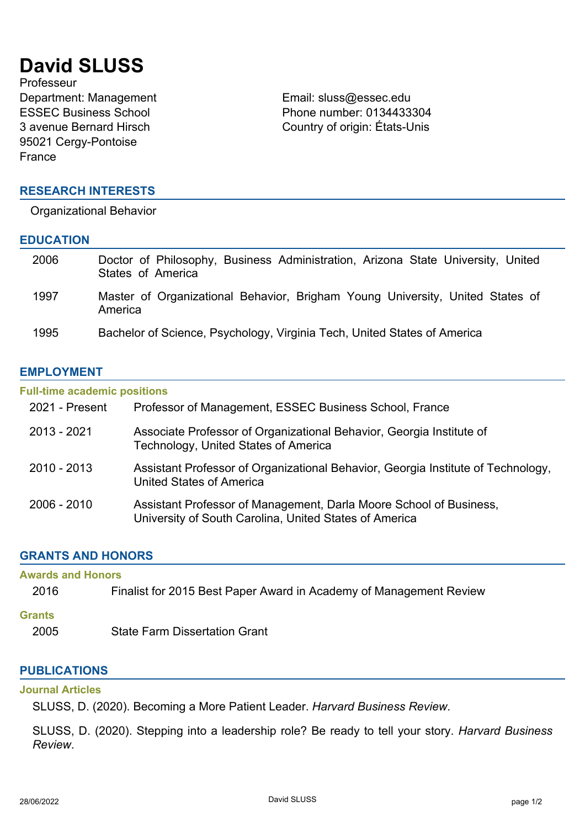# **David SLUSS**

Professeur Department: Management Email: sluss@essec.edu ESSEC Business School 3 avenue Bernard Hirsch 95021 Cergy-Pontoise France

### **RESEARCH INTERESTS**

Organizational Behavior

#### **EDUCATION**

| 2006 | Doctor of Philosophy, Business Administration, Arizona State University, United<br>States of America |
|------|------------------------------------------------------------------------------------------------------|
| 1997 | Master of Organizational Behavior, Brigham Young University, United States of<br>America             |
| 1995 | Bachelor of Science, Psychology, Virginia Tech, United States of America                             |

Phone number: 0134433304 Country of origin: États-Unis

### **EMPLOYMENT**

## **Full-time academic positions** 2021 - Present Professor of Management, ESSEC Business School, France 2013 - 2021 Associate Professor of Organizational Behavior, Georgia Institute of Technology, United States of America 2010 - 2013 Assistant Professor of Organizational Behavior, Georgia Institute of Technology, United States of America 2006 - 2010 Assistant Professor of Management, Darla Moore School of Business, University of South Carolina, United States of America

### **GRANTS AND HONORS**

| <b>Awards and Honors</b> |                                                                    |  |
|--------------------------|--------------------------------------------------------------------|--|
| 2016                     | Finalist for 2015 Best Paper Award in Academy of Management Review |  |
| <b>Grants</b>            |                                                                    |  |
| 2005                     | <b>State Farm Dissertation Grant</b>                               |  |
|                          |                                                                    |  |

### **PUBLICATIONS**

### **Journal Articles**

SLUSS, D. (2020). Becoming a More Patient Leader. *Harvard Business Review*.

SLUSS, D. (2020). Stepping into a leadership role? Be ready to tell your story. *Harvard Business Review*.